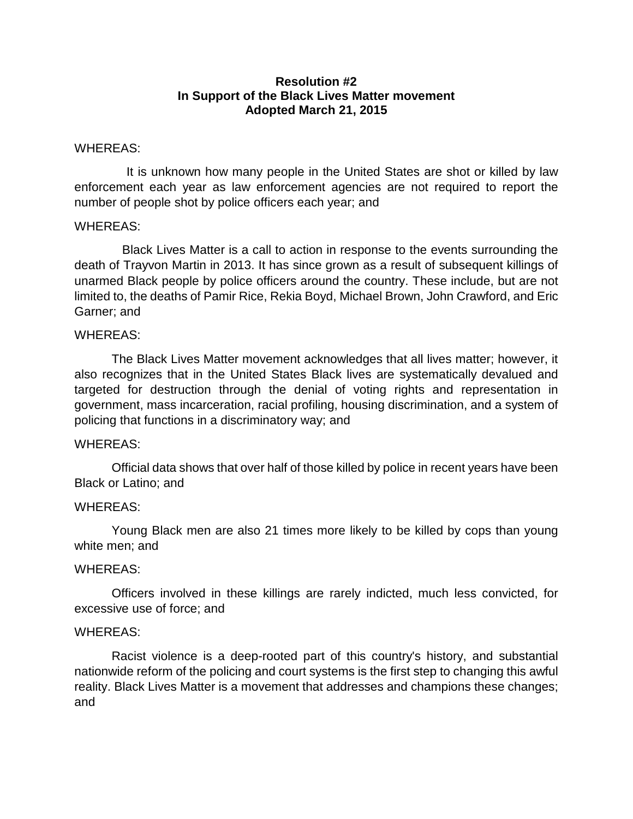## **Resolution #2 In Support of the Black Lives Matter movement Adopted March 21, 2015**

### WHEREAS:

 It is unknown how many people in the United States are shot or killed by law enforcement each year as law enforcement agencies are not required to report the number of people shot by police officers each year; and

## WHEREAS:

 Black Lives Matter is a call to action in response to the events surrounding the death of Trayvon Martin in 2013. It has since grown as a result of subsequent killings of unarmed Black people by police officers around the country. These include, but are not limited to, the deaths of Pamir Rice, Rekia Boyd, Michael Brown, John Crawford, and Eric Garner; and

## WHEREAS:

The Black Lives Matter movement acknowledges that all lives matter; however, it also recognizes that in the United States Black lives are systematically devalued and targeted for destruction through the denial of voting rights and representation in government, mass incarceration, racial profiling, housing discrimination, and a system of policing that functions in a discriminatory way; and

# WHEREAS:

Official data shows that over half of those killed by police in recent years have been Black or Latino; and

# WHEREAS:

Young Black men are also [21 times more likely](http://www.propublica.org/article/deadly-force-in-black-and-white) to be killed by cops than young white men; and

### WHEREAS:

Officers involved in these killings are rarely indicted, much less convicted, for excessive use of force; and

### WHEREAS:

Racist violence is a deep-rooted part of this country's history, and substantial nationwide reform of the policing and court systems is the first step to changing this awful reality. Black Lives Matter is a movement that addresses and champions these changes; and